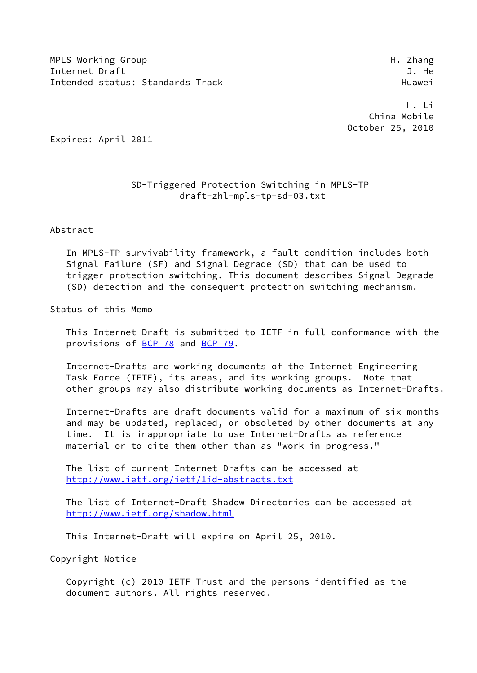MPLS Working Group **Himman** H. Zhang Internet Draft 3. He Intended status: Standards Track Track Huawei

 H. Li China Mobile October 25, 2010

Expires: April 2011

# SD-Triggered Protection Switching in MPLS-TP draft-zhl-mpls-tp-sd-03.txt

Abstract

 In MPLS-TP survivability framework, a fault condition includes both Signal Failure (SF) and Signal Degrade (SD) that can be used to trigger protection switching. This document describes Signal Degrade (SD) detection and the consequent protection switching mechanism.

Status of this Memo

 This Internet-Draft is submitted to IETF in full conformance with the provisions of [BCP 78](https://datatracker.ietf.org/doc/pdf/bcp78) and [BCP 79](https://datatracker.ietf.org/doc/pdf/bcp79).

 Internet-Drafts are working documents of the Internet Engineering Task Force (IETF), its areas, and its working groups. Note that other groups may also distribute working documents as Internet-Drafts.

 Internet-Drafts are draft documents valid for a maximum of six months and may be updated, replaced, or obsoleted by other documents at any time. It is inappropriate to use Internet-Drafts as reference material or to cite them other than as "work in progress."

 The list of current Internet-Drafts can be accessed at <http://www.ietf.org/ietf/1id-abstracts.txt>

 The list of Internet-Draft Shadow Directories can be accessed at <http://www.ietf.org/shadow.html>

This Internet-Draft will expire on April 25, 2010.

Copyright Notice

 Copyright (c) 2010 IETF Trust and the persons identified as the document authors. All rights reserved.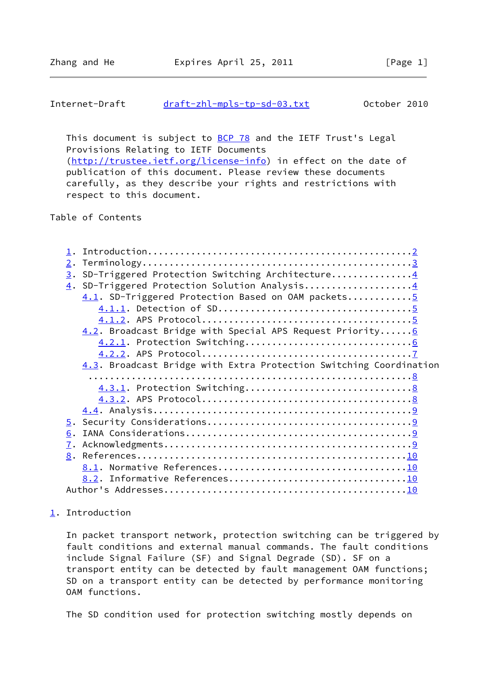## <span id="page-1-1"></span>Internet-Draft [draft-zhl-mpls-tp-sd-03.txt](https://datatracker.ietf.org/doc/pdf/draft-zhl-mpls-tp-sd-03.txt) 0ctober 2010

This document is subject to **[BCP 78](https://datatracker.ietf.org/doc/pdf/bcp78)** and the IETF Trust's Legal Provisions Relating to IETF Documents [\(http://trustee.ietf.org/license-info](http://trustee.ietf.org/license-info)) in effect on the date of publication of this document. Please review these documents carefully, as they describe your rights and restrictions with respect to this document.

Table of Contents

| 2.                                                                 |
|--------------------------------------------------------------------|
| 3. SD-Triggered Protection Switching Architecture4                 |
| 4. SD-Triggered Protection Solution Analysis4                      |
| 4.1. SD-Triggered Protection Based on OAM packets5                 |
|                                                                    |
|                                                                    |
| $4.2$ . Broadcast Bridge with Special APS Request Priority6        |
|                                                                    |
|                                                                    |
| 4.3. Broadcast Bridge with Extra Protection Switching Coordination |
|                                                                    |
|                                                                    |
|                                                                    |
|                                                                    |
|                                                                    |
| 6.                                                                 |
|                                                                    |
|                                                                    |
|                                                                    |
|                                                                    |
|                                                                    |
|                                                                    |

# <span id="page-1-0"></span>[1](#page-1-0). Introduction

 In packet transport network, protection switching can be triggered by fault conditions and external manual commands. The fault conditions include Signal Failure (SF) and Signal Degrade (SD). SF on a transport entity can be detected by fault management OAM functions; SD on a transport entity can be detected by performance monitoring OAM functions.

The SD condition used for protection switching mostly depends on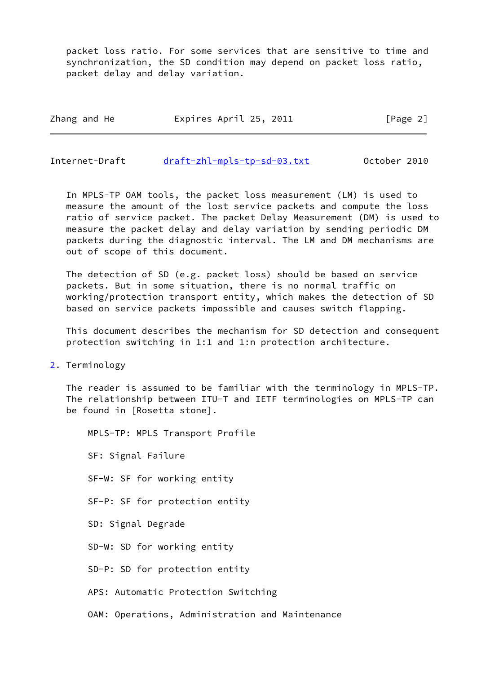packet loss ratio. For some services that are sensitive to time and synchronization, the SD condition may depend on packet loss ratio, packet delay and delay variation.

Zhang and He **Expires April 25, 2011** [Page 2]

<span id="page-2-1"></span>Internet-Draft [draft-zhl-mpls-tp-sd-03.txt](https://datatracker.ietf.org/doc/pdf/draft-zhl-mpls-tp-sd-03.txt) October 2010

 In MPLS-TP OAM tools, the packet loss measurement (LM) is used to measure the amount of the lost service packets and compute the loss ratio of service packet. The packet Delay Measurement (DM) is used to measure the packet delay and delay variation by sending periodic DM packets during the diagnostic interval. The LM and DM mechanisms are out of scope of this document.

 The detection of SD (e.g. packet loss) should be based on service packets. But in some situation, there is no normal traffic on working/protection transport entity, which makes the detection of SD based on service packets impossible and causes switch flapping.

 This document describes the mechanism for SD detection and consequent protection switching in 1:1 and 1:n protection architecture.

<span id="page-2-0"></span>[2](#page-2-0). Terminology

 The reader is assumed to be familiar with the terminology in MPLS-TP. The relationship between ITU-T and IETF terminologies on MPLS-TP can be found in [Rosetta stone].

 MPLS-TP: MPLS Transport Profile SF: Signal Failure SF-W: SF for working entity SF-P: SF for protection entity SD: Signal Degrade SD-W: SD for working entity SD-P: SD for protection entity APS: Automatic Protection Switching

OAM: Operations, Administration and Maintenance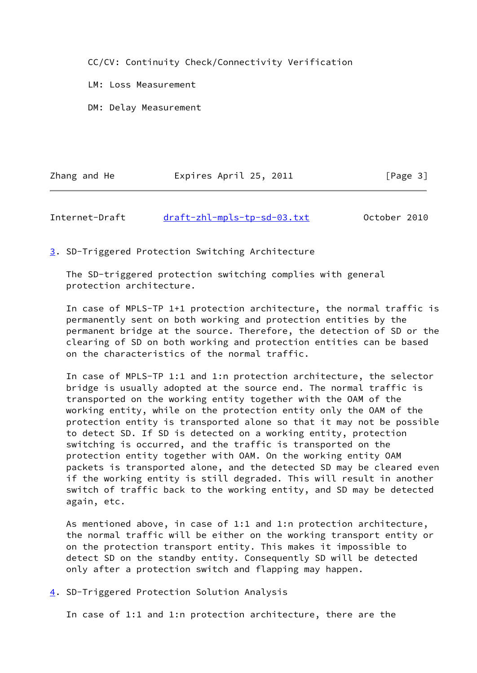CC/CV: Continuity Check/Connectivity Verification

LM: Loss Measurement

DM: Delay Measurement

| Zhang and He | Expires April 25, 2011 | [Page 3] |
|--------------|------------------------|----------|
|              |                        |          |

<span id="page-3-1"></span>Internet-Draft [draft-zhl-mpls-tp-sd-03.txt](https://datatracker.ietf.org/doc/pdf/draft-zhl-mpls-tp-sd-03.txt) October 2010

<span id="page-3-0"></span>[3](#page-3-0). SD-Triggered Protection Switching Architecture

 The SD-triggered protection switching complies with general protection architecture.

 In case of MPLS-TP 1+1 protection architecture, the normal traffic is permanently sent on both working and protection entities by the permanent bridge at the source. Therefore, the detection of SD or the clearing of SD on both working and protection entities can be based on the characteristics of the normal traffic.

 In case of MPLS-TP 1:1 and 1:n protection architecture, the selector bridge is usually adopted at the source end. The normal traffic is transported on the working entity together with the OAM of the working entity, while on the protection entity only the OAM of the protection entity is transported alone so that it may not be possible to detect SD. If SD is detected on a working entity, protection switching is occurred, and the traffic is transported on the protection entity together with OAM. On the working entity OAM packets is transported alone, and the detected SD may be cleared even if the working entity is still degraded. This will result in another switch of traffic back to the working entity, and SD may be detected again, etc.

 As mentioned above, in case of 1:1 and 1:n protection architecture, the normal traffic will be either on the working transport entity or on the protection transport entity. This makes it impossible to detect SD on the standby entity. Consequently SD will be detected only after a protection switch and flapping may happen.

<span id="page-3-2"></span>[4](#page-3-2). SD-Triggered Protection Solution Analysis

In case of 1:1 and 1:n protection architecture, there are the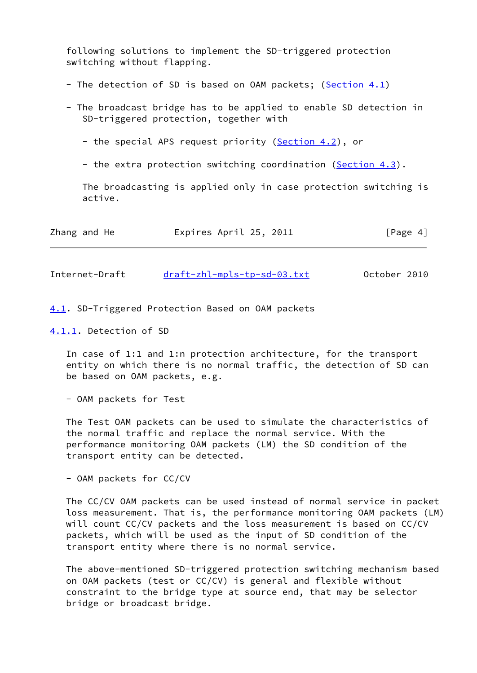following solutions to implement the SD-triggered protection switching without flapping.

- The detection of SD is based on OAM packets; [\(Section 4.1](#page-4-0))
- The broadcast bridge has to be applied to enable SD detection in SD-triggered protection, together with
	- the special APS request priority ([Section 4.2](#page-5-1)), or
	- the extra protection switching coordination [\(Section 4.3](#page-7-1)).

 The broadcasting is applied only in case protection switching is active.

| Expires April 25, 2011<br>Zhang and He | [Page 4] |
|----------------------------------------|----------|
|----------------------------------------|----------|

<span id="page-4-1"></span>Internet-Draft [draft-zhl-mpls-tp-sd-03.txt](https://datatracker.ietf.org/doc/pdf/draft-zhl-mpls-tp-sd-03.txt) October 2010

<span id="page-4-0"></span>[4.1](#page-4-0). SD-Triggered Protection Based on OAM packets

<span id="page-4-2"></span>[4.1.1](#page-4-2). Detection of SD

 In case of 1:1 and 1:n protection architecture, for the transport entity on which there is no normal traffic, the detection of SD can be based on OAM packets, e.g.

- OAM packets for Test

 The Test OAM packets can be used to simulate the characteristics of the normal traffic and replace the normal service. With the performance monitoring OAM packets (LM) the SD condition of the transport entity can be detected.

- OAM packets for CC/CV

 The CC/CV OAM packets can be used instead of normal service in packet loss measurement. That is, the performance monitoring OAM packets (LM) will count CC/CV packets and the loss measurement is based on CC/CV packets, which will be used as the input of SD condition of the transport entity where there is no normal service.

 The above-mentioned SD-triggered protection switching mechanism based on OAM packets (test or CC/CV) is general and flexible without constraint to the bridge type at source end, that may be selector bridge or broadcast bridge.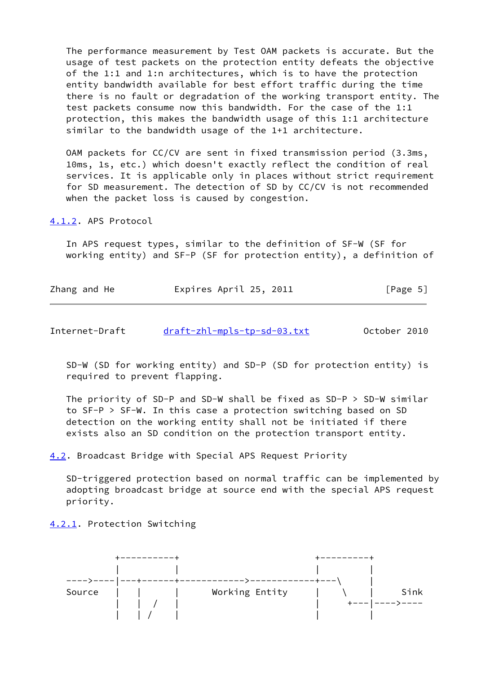The performance measurement by Test OAM packets is accurate. But the usage of test packets on the protection entity defeats the objective of the 1:1 and 1:n architectures, which is to have the protection entity bandwidth available for best effort traffic during the time there is no fault or degradation of the working transport entity. The test packets consume now this bandwidth. For the case of the 1:1 protection, this makes the bandwidth usage of this 1:1 architecture similar to the bandwidth usage of the 1+1 architecture.

 OAM packets for CC/CV are sent in fixed transmission period (3.3ms, 10ms, 1s, etc.) which doesn't exactly reflect the condition of real services. It is applicable only in places without strict requirement for SD measurement. The detection of SD by CC/CV is not recommended when the packet loss is caused by congestion.

<span id="page-5-0"></span>[4.1.2](#page-5-0). APS Protocol

 In APS request types, similar to the definition of SF-W (SF for working entity) and SF-P (SF for protection entity), a definition of

| Zhang and He | Expires April 25, 2011 | [Page 5] |
|--------------|------------------------|----------|
|              |                        |          |

<span id="page-5-2"></span>

| Internet-Draft | draft-zhl-mpls-tp-sd-03.txt |  | October 2010 |  |
|----------------|-----------------------------|--|--------------|--|
|                |                             |  |              |  |

 SD-W (SD for working entity) and SD-P (SD for protection entity) is required to prevent flapping.

 The priority of SD-P and SD-W shall be fixed as SD-P > SD-W similar to SF-P > SF-W. In this case a protection switching based on SD detection on the working entity shall not be initiated if there exists also an SD condition on the protection transport entity.

<span id="page-5-1"></span>[4.2](#page-5-1). Broadcast Bridge with Special APS Request Priority

 SD-triggered protection based on normal traffic can be implemented by adopting broadcast bridge at source end with the special APS request priority.

<span id="page-5-3"></span>[4.2.1](#page-5-3). Protection Switching

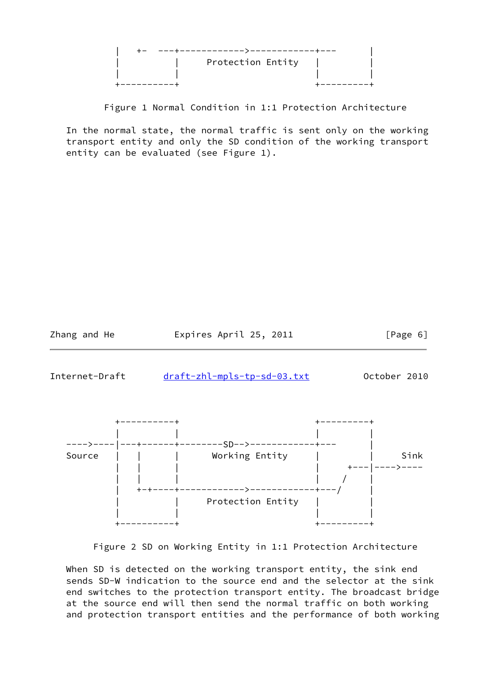| Protection Entity |  |
|-------------------|--|
|                   |  |
|                   |  |

Figure 1 Normal Condition in 1:1 Protection Architecture

 In the normal state, the normal traffic is sent only on the working transport entity and only the SD condition of the working transport entity can be evaluated (see Figure 1).

Zhang and He **Expires April 25, 2011** [Page 6]

<span id="page-6-0"></span>Internet-Draft [draft-zhl-mpls-tp-sd-03.txt](https://datatracker.ietf.org/doc/pdf/draft-zhl-mpls-tp-sd-03.txt) 0ctober 2010



Figure 2 SD on Working Entity in 1:1 Protection Architecture

 When SD is detected on the working transport entity, the sink end sends SD-W indication to the source end and the selector at the sink end switches to the protection transport entity. The broadcast bridge at the source end will then send the normal traffic on both working and protection transport entities and the performance of both working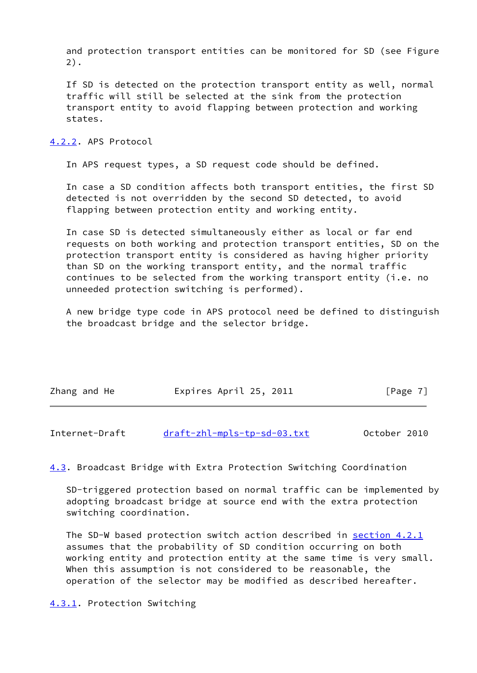and protection transport entities can be monitored for SD (see Figure 2).

 If SD is detected on the protection transport entity as well, normal traffic will still be selected at the sink from the protection transport entity to avoid flapping between protection and working states.

### <span id="page-7-0"></span>[4.2.2](#page-7-0). APS Protocol

In APS request types, a SD request code should be defined.

 In case a SD condition affects both transport entities, the first SD detected is not overridden by the second SD detected, to avoid flapping between protection entity and working entity.

 In case SD is detected simultaneously either as local or far end requests on both working and protection transport entities, SD on the protection transport entity is considered as having higher priority than SD on the working transport entity, and the normal traffic continues to be selected from the working transport entity (i.e. no unneeded protection switching is performed).

 A new bridge type code in APS protocol need be defined to distinguish the broadcast bridge and the selector bridge.

| Zhang and He | Expires April 25, 2011 | [Page 7] |
|--------------|------------------------|----------|
|              |                        |          |

<span id="page-7-2"></span>Internet-Draft [draft-zhl-mpls-tp-sd-03.txt](https://datatracker.ietf.org/doc/pdf/draft-zhl-mpls-tp-sd-03.txt) October 2010

<span id="page-7-1"></span>[4.3](#page-7-1). Broadcast Bridge with Extra Protection Switching Coordination

 SD-triggered protection based on normal traffic can be implemented by adopting broadcast bridge at source end with the extra protection switching coordination.

 The SD-W based protection switch action described in [section 4.2.1](#page-5-3) assumes that the probability of SD condition occurring on both working entity and protection entity at the same time is very small. When this assumption is not considered to be reasonable, the operation of the selector may be modified as described hereafter.

### <span id="page-7-3"></span>[4.3.1](#page-7-3). Protection Switching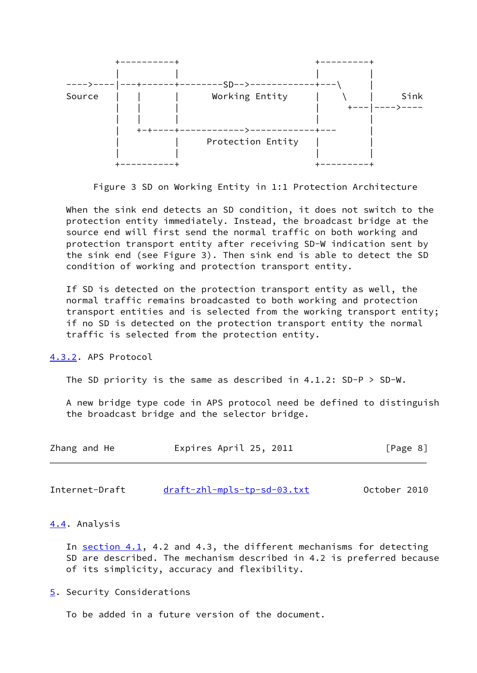

Figure 3 SD on Working Entity in 1:1 Protection Architecture

 When the sink end detects an SD condition, it does not switch to the protection entity immediately. Instead, the broadcast bridge at the source end will first send the normal traffic on both working and protection transport entity after receiving SD-W indication sent by the sink end (see Figure 3). Then sink end is able to detect the SD condition of working and protection transport entity.

 If SD is detected on the protection transport entity as well, the normal traffic remains broadcasted to both working and protection transport entities and is selected from the working transport entity; if no SD is detected on the protection transport entity the normal traffic is selected from the protection entity.

<span id="page-8-0"></span>[4.3.2](#page-8-0). APS Protocol

The SD priority is the same as described in 4.1.2: SD-P > SD-W.

 A new bridge type code in APS protocol need be defined to distinguish the broadcast bridge and the selector bridge.

| Zhang and He | Expires April 25, 2011 | [Page 8] |
|--------------|------------------------|----------|
|              |                        |          |

<span id="page-8-2"></span>Internet-Draft [draft-zhl-mpls-tp-sd-03.txt](https://datatracker.ietf.org/doc/pdf/draft-zhl-mpls-tp-sd-03.txt) 0ctober 2010

### <span id="page-8-1"></span>[4.4](#page-8-1). Analysis

 In [section 4.1](#page-4-0), 4.2 and 4.3, the different mechanisms for detecting SD are described. The mechanism described in 4.2 is preferred because of its simplicity, accuracy and flexibility.

<span id="page-8-3"></span>[5](#page-8-3). Security Considerations

To be added in a future version of the document.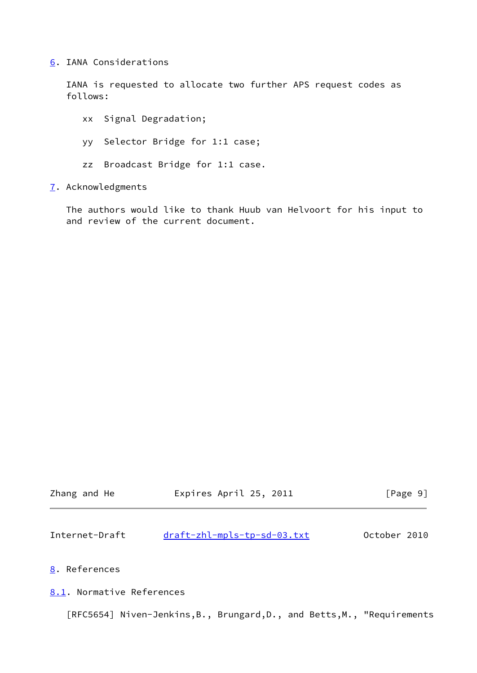<span id="page-9-0"></span>[6](#page-9-0). IANA Considerations

 IANA is requested to allocate two further APS request codes as follows:

 xx Signal Degradation; yy Selector Bridge for 1:1 case; zz Broadcast Bridge for 1:1 case.

<span id="page-9-1"></span>[7](#page-9-1). Acknowledgments

 The authors would like to thank Huub van Helvoort for his input to and review of the current document.

<span id="page-9-3"></span>

| Zhang and He              | Expires April 25, 2011      | [Page 9]     |
|---------------------------|-----------------------------|--------------|
| Internet-Draft            | draft-zhl-mpls-tp-sd-03.txt | October 2010 |
| 8. References             |                             |              |
| 8.1. Normative References |                             |              |

<span id="page-9-4"></span><span id="page-9-2"></span>[RFC5654] Niven-Jenkins,B., Brungard,D., and Betts,M., "Requirements